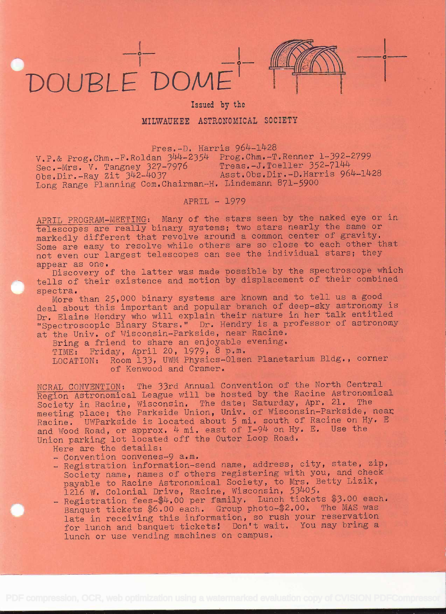## DUBLE DOME



in the state of the state of the state of the state of the state of the state of the state of the state of the

## Issued by the

## MILWAUKEE ASTRONOMICAL SOCIETY

Pres.-D. Harris 964-1428 v.P.& Prog.Chm.-F.Roldan 344-2354 Prog.Chm.-T.Renner 1-392-2799 v.r. Thos. V. Tangney 327-7976 Treas.-J.Toeller 352-7144 Obs.Dir.-Ray Zit 342-4037 Asst.Obs.Dir.-D.Harris 964-1428 Obs.Dir.-Ray Zit 342-4037 Asst.Obs.Dir.-D.Harris 964-1428<br>Long Range Planning Com.Chairman-H. Lindemann 871-5900

## APRIL - 1979

APRIL PROGRAM-MEETING: Many of the stars seen by the naked eye or in telescopes are really binary systems; two stars nearly the same or markedly different that revolve around a common center of gravity. Some are easy to resolve while others are so close to each other that not even our largest telescopes can see the individual stars; they appear as one.

Discovery of the latter was made possible by the spectroscope which tells of their existence and motion by displacement of their combined<br>spectra.

More than 25,000 binary systems are known and to tell us a good deal about this important and popular branch of deep-sky astronomy is Dr. Elaine Hendry who will explain their nature in her talk entitled "Spectroscopic Binary Stars," Dr. Hendry is a professor of astronomy at the Univ. of Wisconsin-Parkside, near Racine.

Bring a friend to share an enjoyable evening. TIME: Friday, April 20, 1979, 8 p.m.<br>LOCATION: Room 133, UWM Physics-Olser Room 133, UWM Physics-Olsen Planetarium Bldg., corner of Kenwood and Cramer.

NCRAL CONVENTION: The 33rd Annual Convention of the North Central Region Astronomical League will be hosted by the Racine Astronomical Society in Racine, Wisconsin. The date; Saturday, Apr. 21. The meeting place; the Parkside Union, Univ. of Wisconsin-Parkside, near Racine. UWParkside is located about 5 mi. south of Racine on Hy. E and Wood Road, or approx.  $4$  mi, east of I-94 on Hy. E. Use the Union parking lot located off the Outer Loop Road.<br>Here are the details:

- Convention convenes-9 a.m.<br>- Registration information-send name, address, city, state, zip, Society name, names of others registering with you, and check payable to Racine Astronomical Society, to Mrs. Betty Lizik,
- 1216 W. Colonial Drive, Racine, Wisconsin, 53405.<br>- Registration fees-\$4.00 per family. Lunch tickets \$3.00 each. Banquet tickets \$6.00 each. Group photo-\$2.00. The MAS was late in receiving this information, so rush your reservation for lunch and banquet tickets! Don't wait. You may bring a lunch or use vending machines on campus.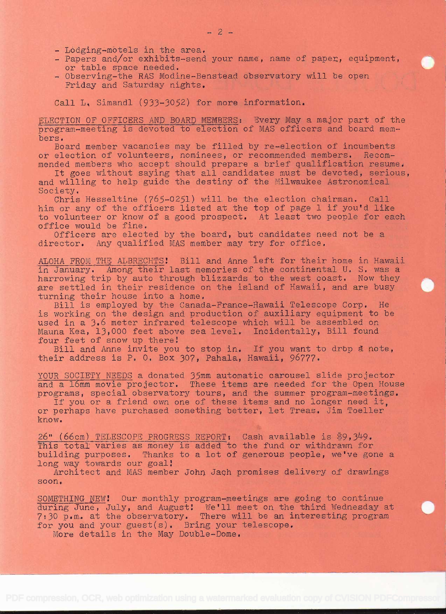- 
- Lòdging-mòtels in the area.<br>- Papers and/or exhibits-send your name, name of paper, equipment,<br>or table space needed.
- Observing-the RAS Modine-Benstead observatory will be open Friday and Saturday nights.

Call L. Simandl (933-3052) for more information.

ELECTION OF OFFICERS AND BOARD MEMBERS: Every May a major part of the program-meeting is devoted to election of MAS officers and board mem- bers.

Board member vacancies may be filled by re-election of incumbents or election of volunteers, nominees, or recommended members. Recommended members who accept should prepare a brief qualification resume.

It goes without saying that all candidates must be devoted, serious, and willing to help guide the destiny of the Milwaukee Astronomical<br>Society.

Chris Hesseltine ( $765-0251$ ) will be the election chairman. Call him or any of the officers listed at the top of page 1 if you'd like to volunteer or know of a good prospect. At least two people for each office would be fine.

Officers are elected by the board, but candidates need not be a director. Any qualified MAS member may try for office.

ALOHA FROM THE ALBRECHTS! Bill and Anne left for their home in Hawaii in January. Among their last memories of the continental U. S. was <sup>a</sup> harrowing trip by auto through blizzards to the west coast, Now they are settled in their residence on the island of Hawaii, and are busy<br>turning their house into a home.<br>Bill is employed by the Canada-France-Hawaii Telescope Corp. He

is working on the design and production of auxiliary equipment to be used in a 3.6 meter infrared telescope which will be assembled on Mauna Kea, 13,000 feet above sea level. Incidentally, Bill found<br>four feet of snow up there!

Bill and Anne invite you to stop in. If you want to drop a note, their address is P. O. Box 307, Pahala, Hawaii, 96777.

YOUR SOCIETY NEEDS a donated 35mm automatic carousel slide projector<br>and a l6mm movie projector. These items are needed for the Open House<br>programs, special observatory tours, and the summer program-meetings.

If you or a friend own one of these items and no longer need it. or perhaps have purchased something better, let Treas. Jim Toeller know.

26" (66cm) TELESCOPE PROGRESS REPORT: Cash available is \$9,349. **EXECUTE INTERFOLUS INCORDED TO ALL CAST AVAILABLE IS \$9,949.**<br>This total varies as money is added to the fund or withdrawn for Inis total varies as money is added to the fund of wrthurawn for<br>building purposes. Thanks to a lot of generous people, we've gone a<br>long way towards our goal! g way towards our goal!<br>Architect and MAS member John Jach promises delivery of drawings

soon,

SOMETHING NEW! Our monthly program-meetings are going to continue  $\frac{1}{\text{dim}(1)}$   $\frac{1}{\text{dim}(1)}$ ,  $\frac{1}{\text{dim}(1)}$  and  $\frac{1}{\text{dim}(1)}$  we'll meet on the third Wednesday at during same, sary, and August. We if meet on the third weakesday at<br>7:30 p.m. at the observatory. There will be an interesting program<br>for you and your guest(s). Bring your telescope. for you and your guest(s). Bring your telescope.<br>More details in the May Double-Dome.